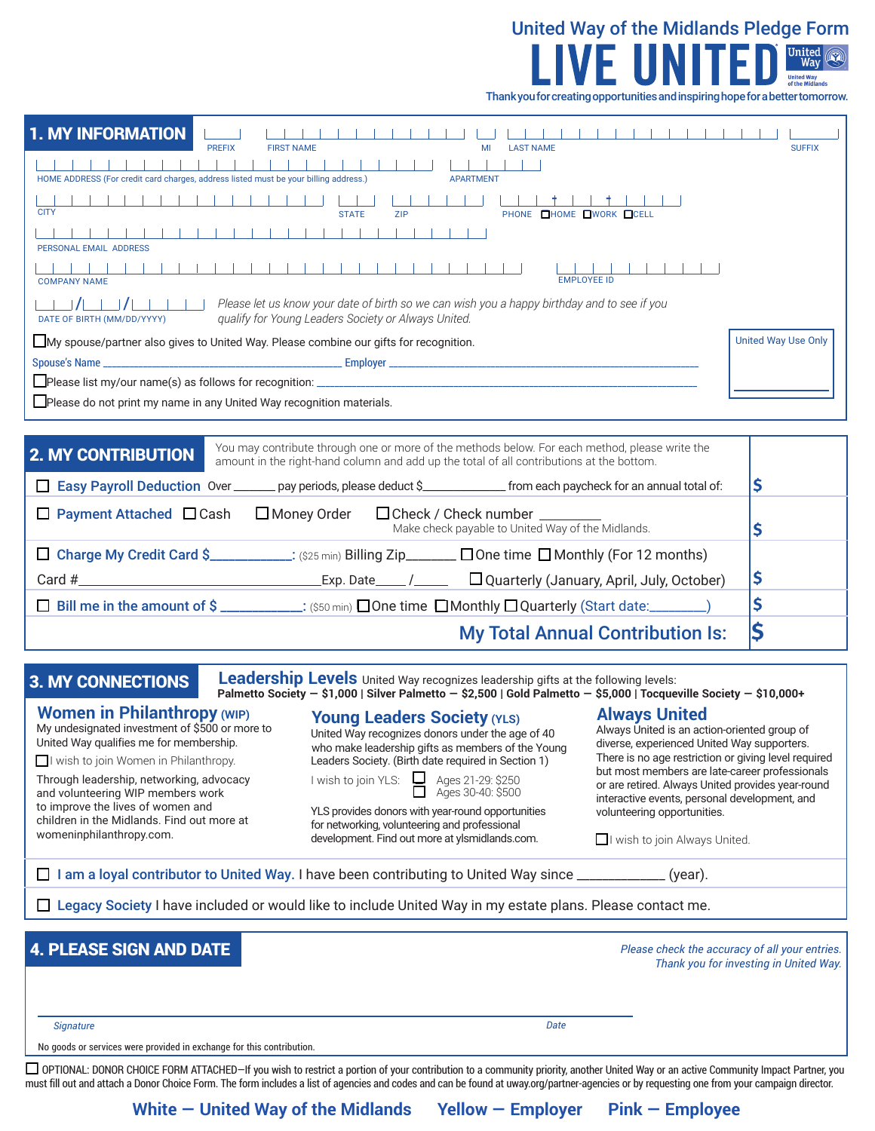

| <b>1. MY INFORMATION</b><br><b>PREFIX</b><br><b>FIRST NAME</b><br>MI<br><b>LAST NAME</b>                                                                                                                                | <b>SUFFIX</b>              |
|-------------------------------------------------------------------------------------------------------------------------------------------------------------------------------------------------------------------------|----------------------------|
| HOME ADDRESS (For credit card charges, address listed must be your billing address.)<br><b>APARTMENT</b>                                                                                                                |                            |
| <b>CITY</b><br>PHONE <b>HOME LWORK</b> LCELL<br><b>ZIP</b><br><b>STATE</b>                                                                                                                                              |                            |
| $-1 - 1$<br>PERSONAL EMAIL ADDRESS                                                                                                                                                                                      |                            |
| <b>EMPLOYEE ID</b><br><b>COMPANY NAME</b>                                                                                                                                                                               |                            |
| Please let us know your date of birth so we can wish you a happy birthday and to see if you<br>qualify for Young Leaders Society or Always United.<br>DATE OF BIRTH (MM/DD/YYYY)                                        |                            |
| My spouse/partner also gives to United Way. Please combine our gifts for recognition.                                                                                                                                   | <b>United Way Use Only</b> |
|                                                                                                                                                                                                                         |                            |
|                                                                                                                                                                                                                         |                            |
| Please do not print my name in any United Way recognition materials.                                                                                                                                                    |                            |
|                                                                                                                                                                                                                         |                            |
| You may contribute through one or more of the methods below. For each method, please write the<br><b>2. MY CONTRIBUTION</b><br>amount in the right-hand column and add up the total of all contributions at the bottom. |                            |
| Easy Payroll Deduction Over ______ pay periods, please deduct \$______________ from each paycheck for an annual total of:                                                                                               | \$                         |
| $\Box$ Payment Attached $\Box$ Cash<br>□ Money Order<br>$\Box$ Check / Check number $\_\_$<br>Make check payable to United Way of the Midlands.                                                                         | \$                         |
| □ Charge My Credit Card \$___________: (\$25 min) Billing Zip_______ □ One time □ Monthly (For 12 months)                                                                                                               |                            |

**\$ \$** Card # Exp. Date / q Quarterly (January, April, July, October)  $\Box$  Bill me in the amount of \$ \_\_\_\_\_\_\_\_\_\_: (\$50 min)  $\Box$  One time  $\Box$  Monthly  $\Box$  Quarterly (Start date:

## My Total Annual Contribution Is: **\$**

**3. MY CONNECTIONS** Leadership Levels United Way recognizes leadership gifts at the following levels: **Palmetto Society — \$1,000 | Silver Palmetto — \$2,500 | Gold Palmetto — \$5,000 | Tocqueville Society — \$10,000+**

## **Women in Philanthropy (WIP)**

My undesignated investment of \$500 or more to United Way qualifies me for membership.

 $\Box$  I wish to join Women in Philanthropy.

Through leadership, networking, advocacy and volunteering WIP members work to improve the lives of women and children in the Midlands. Find out more at womeninphilanthropy.com.

## **Young Leaders Society (YLS)**

United Way recognizes donors under the age of 40 who make leadership gifts as members of the Young Leaders Society. (Birth date required in Section 1)

|  | I wish to join |  |  |  |
|--|----------------|--|--|--|
|--|----------------|--|--|--|

Ages 21-29: \$250 Ages 30-40: \$500

YLS provides donors with year-round opportunities for networking, volunteering and professional development. Find out more at ylsmidlands.com.

## **Always United**

Always United is an action-oriented group of diverse, experienced United Way supporters. There is no age restriction or giving level required but most members are late-career professionals or are retired. Always United provides year-round interactive events, personal development, and volunteering opportunities.

 $\Box$  I wish to join Always United.

 $\Box$  I am a loyal contributor to United Way. I have been contributing to United Way since  $\Box$  \_\_\_\_\_\_\_\_\_\_\_\_\_ (year).

 $\Box$  Legacy Society I have included or would like to include United Way in my estate plans. Please contact me.

## 4. PLEASE SIGN AND DATE

*Please check the accuracy of all your entries. Thank you for investing in United Way.*

*Signature Date*

No goods or services were provided in exchange for this contribution.

□ OPTIONAL: DONOR CHOICE FORM ATTACHED–If you wish to restrict a portion of your contribution to a community priority, another United Way or an active Community Impact Partner, you must fill out and attach a Donor Choice Form. The form includes a list of agencies and codes and can be found at uway.org/partner-agencies or by requesting one from your campaign director.